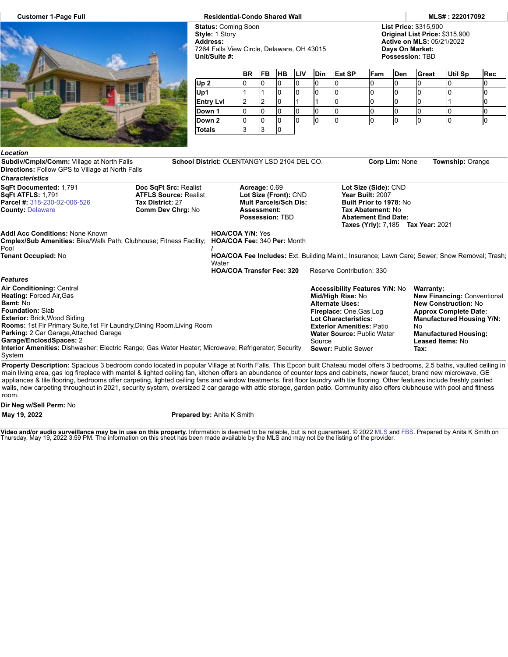

## **Customer 1-Page Full Residential-Condo Shared Wall MLS# : 222017092**

**Status:** Coming Soon **Style:** 1 Story **Address:** 7264 Falls View Circle, Delaware, OH 43015 **Unit/Suite #:**

**List Price:** \$315,900 **Original List Price:** \$315,900 **Active on MLS:** 05/21/2022 **Days On Market: Possession:** TBD

|                  | <b>BR</b> | <b>FB</b> | <b>HB</b> | <b>LIV</b> | <b>Din</b> | Eat SP | Fam | <b>Den</b> | Great | <b>Util Sp</b> | <b>Rec</b> |
|------------------|-----------|-----------|-----------|------------|------------|--------|-----|------------|-------|----------------|------------|
| Up <sub>2</sub>  |           |           | U         |            |            |        |     | ı.         | u     |                |            |
| Up1              |           |           |           |            |            |        |     |            |       |                |            |
| <b>Entry Lvl</b> |           |           |           |            |            |        |     |            |       |                |            |
| Down 1           |           |           | u         |            |            |        |     |            |       |                |            |
| Down 2           |           |           | u         |            |            |        |     |            |       |                |            |
| <b>Totals</b>    | J         | O         |           |            |            |        |     |            |       |                |            |

**Subdiv/Cmplx/Comm:** Village at North Falls **School District:** OLENTANGY LSD 2104 DEL CO. **Corp Lim:** None **Township:** Orange

| <b>Directions: Follow GPS to Village at North Falls</b>                                                                                                 |                                                                                                       |                                                                                                                 |                                                                                             |                                                                      |  |  |  |
|---------------------------------------------------------------------------------------------------------------------------------------------------------|-------------------------------------------------------------------------------------------------------|-----------------------------------------------------------------------------------------------------------------|---------------------------------------------------------------------------------------------|----------------------------------------------------------------------|--|--|--|
| <b>Characteristics</b>                                                                                                                                  |                                                                                                       |                                                                                                                 |                                                                                             |                                                                      |  |  |  |
| SqFt Documented: 1,791<br><b>SqFt ATFLS: 1,791</b><br><b>Parcel #: 318-230-02-006-526</b><br><b>County: Delaware</b>                                    | Doc SqFt Src: Realist<br><b>ATFLS Source: Realist</b><br>Tax District: 27<br><b>Comm Dev Chrg: No</b> | Acreage: 0.69<br>Lot Size (Front): CND<br><b>Mult Parcels/Sch Dis:</b><br>Assessment:<br><b>Possession: TBD</b> | Lot Size (Side): CND<br>Year Built: 2007<br>Tax Abatement: No<br><b>Abatement End Date:</b> | Built Prior to 1978: No<br><b>Taxes (Yrly): 7,185 Tax Year: 2021</b> |  |  |  |
| <b>Addl Acc Conditions: None Known</b><br><b>Cmplex/Sub Amenities: Bike/Walk Path: Clubhouse: Fitness Facility: HOA/COA Fee: 340 Per: Month</b><br>Pool |                                                                                                       | <b>HOA/COA Y/N: Yes</b>                                                                                         |                                                                                             |                                                                      |  |  |  |
| Tenant Occupied: No                                                                                                                                     |                                                                                                       | <b>HOA/COA Fee Includes:</b> Ext. Building Maint.; Insurance; Lawn Care; Sewer; Snow Removal; Trash;<br>Water   |                                                                                             |                                                                      |  |  |  |
| <b>Features</b>                                                                                                                                         |                                                                                                       | <b>HOA/COA Transfer Fee: 320</b>                                                                                | Reserve Contribution: 330                                                                   |                                                                      |  |  |  |
| <b>Air Conditioning: Central</b>                                                                                                                        |                                                                                                       |                                                                                                                 | <b>Accessibility Features Y/N: No</b>                                                       | <b>Warranty:</b>                                                     |  |  |  |
| <b>Heating: Forced Air, Gas</b>                                                                                                                         |                                                                                                       |                                                                                                                 | Mid/High Rise: No                                                                           | <b>New Financing: Conventional</b>                                   |  |  |  |
| <b>Bsmt:</b> No                                                                                                                                         |                                                                                                       |                                                                                                                 | <b>Alternate Uses:</b>                                                                      | <b>New Construction: No</b>                                          |  |  |  |
| <b>Foundation: Slab</b>                                                                                                                                 |                                                                                                       |                                                                                                                 | Fireplace: One, Gas Log                                                                     | <b>Approx Complete Date:</b>                                         |  |  |  |

**Exterior:** Brick,Wood Siding **Rooms:** 1st Flr Primary Suite,1st Flr Laundry,Dining Room,Living Room **Parking:** 2 Car Garage,Attached Garage **Garage/EnclosdSpaces:** 2 **Interior Amenities:** Dishwasher; Electric Range; Gas Water Heater; Microwave; Refrigerator; Security **Lot Characteristics: Exterior Amenities:** Patio **Water Source:** Public Water Source **Sewer:** Public Sewer

*<u>Eing</u>: Conventional</u>* **ruction:** No **Approx Complete Date: Manufactured Housing Y/N:** No **Manufactured Housing: Leased Items:** No **Tax:**

**Property Description:** Spacious 3 bedroom condo located in popular Village at North Falls. This Epcon built Chateau model offers 3 bedrooms, 2.5 baths, vaulted ceiling in main living area, gas log fireplace with mantel & lighted ceiling fan, kitchen offers an abundance of counter tops and cabinets, newer faucet, brand new microwave, GE appliances & tile flooring, bedrooms offer carpeting, lighted ceiling fans and window treatments, first floor laundry with tile flooring. Other features include freshly painted walls, new carpeting throughout in 2021, security system, oversized 2 car garage with attic storage, garden patio. Community also offers clubhouse with pool and fitness room.

**Dir Neg w/Sell Perm:** No

System

*Location*

**May 19, 2022 Prepared by:** Anita K Smith

**Video and/or audio surveillance may be in use on this property.** Information is deemed to be reliable, but is not guaranteed. © 2022 [MLS](http://www.columbusrealtors.com/) and [FBS](http://www.flexmls.com/copyright_notice.html?2). Prepared by Anita K Smith on<br>Thursday, May 19, 2022 3:59 PM. The informatio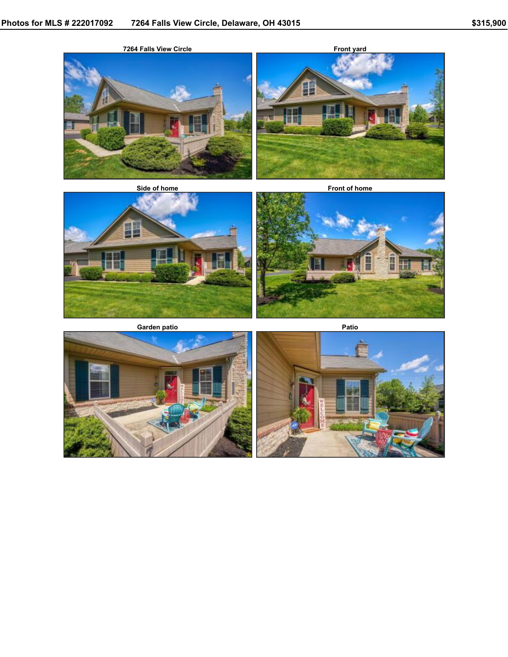



**Side of home Front of home**



**Garden patio Patio Patio** 





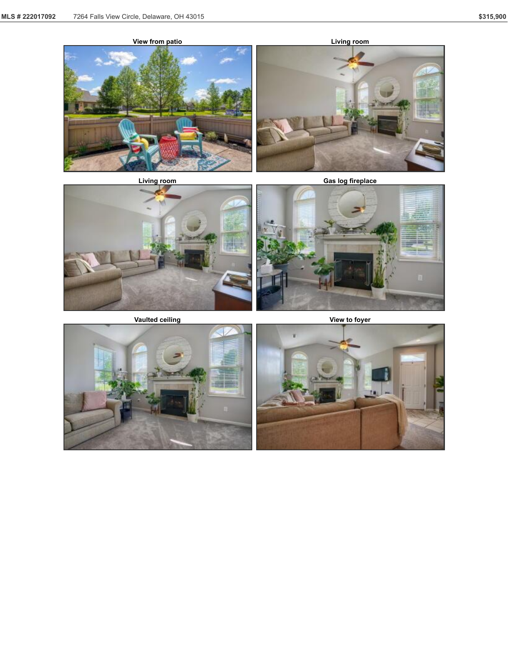





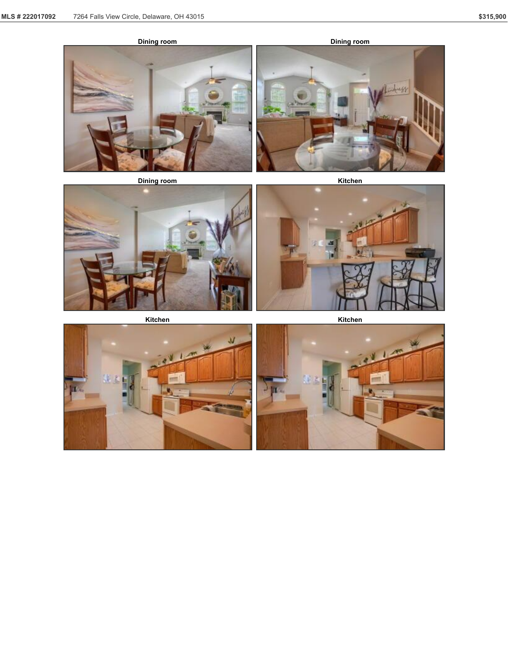









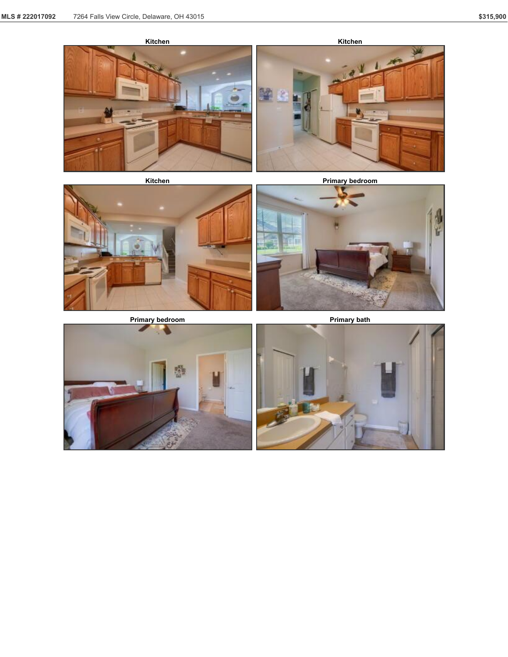



**Primary bedroom Primary bath** 





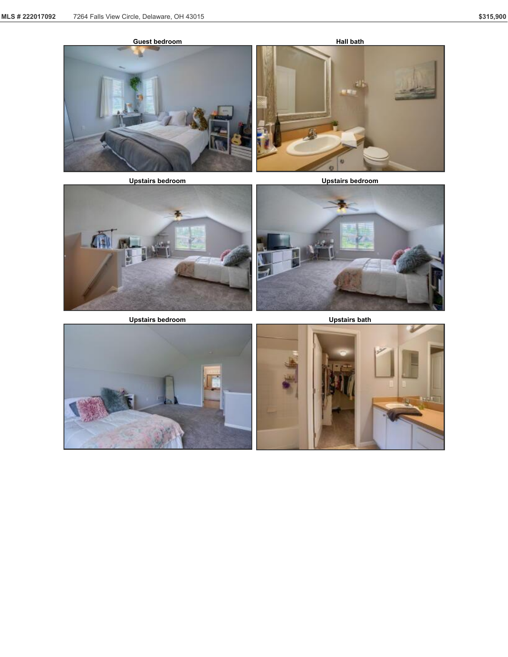

**Upstairs bedroom Upstairs bedroom**



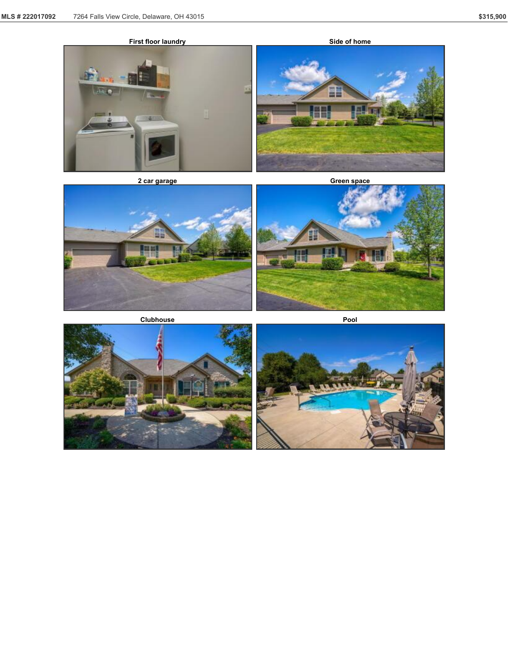